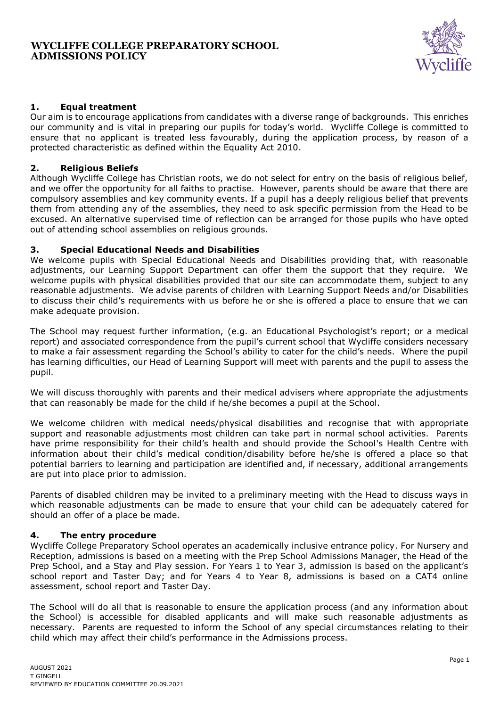### **WYCLIFFE COLLEGE PREPARATORY SCHOOL ADMISSIONS POLICY**



# **1. Equal treatment**

Our aim is to encourage applications from candidates with a diverse range of backgrounds. This enriches our community and is vital in preparing our pupils for today's world. Wycliffe College is committed to ensure that no applicant is treated less favourably, during the application process, by reason of a protected characteristic as defined within the Equality Act 2010.

### **2. Religious Beliefs**

Although Wycliffe College has Christian roots, we do not select for entry on the basis of religious belief, and we offer the opportunity for all faiths to practise. However, parents should be aware that there are compulsory assemblies and key community events. If a pupil has a deeply religious belief that prevents them from attending any of the assemblies, they need to ask specific permission from the Head to be excused. An alternative supervised time of reflection can be arranged for those pupils who have opted out of attending school assemblies on religious grounds.

# **3. Special Educational Needs and Disabilities**

We welcome pupils with Special Educational Needs and Disabilities providing that, with reasonable adjustments, our Learning Support Department can offer them the support that they require. We welcome pupils with physical disabilities provided that our site can accommodate them, subject to any reasonable adjustments. We advise parents of children with Learning Support Needs and/or Disabilities to discuss their child's requirements with us before he or she is offered a place to ensure that we can make adequate provision.

The School may request further information, (e.g. an Educational Psychologist's report; or a medical report) and associated correspondence from the pupil's current school that Wycliffe considers necessary to make a fair assessment regarding the School's ability to cater for the child's needs. Where the pupil has learning difficulties, our Head of Learning Support will meet with parents and the pupil to assess the pupil.

We will discuss thoroughly with parents and their medical advisers where appropriate the adjustments that can reasonably be made for the child if he/she becomes a pupil at the School.

We welcome children with medical needs/physical disabilities and recognise that with appropriate support and reasonable adjustments most children can take part in normal school activities. Parents have prime responsibility for their child's health and should provide the School's Health Centre with information about their child's medical condition/disability before he/she is offered a place so that potential barriers to learning and participation are identified and, if necessary, additional arrangements are put into place prior to admission.

Parents of disabled children may be invited to a preliminary meeting with the Head to discuss ways in which reasonable adjustments can be made to ensure that your child can be adequately catered for should an offer of a place be made.

### **4. The entry procedure**

Wycliffe College Preparatory School operates an academically inclusive entrance policy. For Nursery and Reception, admissions is based on a meeting with the Prep School Admissions Manager, the Head of the Prep School, and a Stay and Play session. For Years 1 to Year 3, admission is based on the applicant's school report and Taster Day; and for Years 4 to Year 8, admissions is based on a CAT4 online assessment, school report and Taster Day.

The School will do all that is reasonable to ensure the application process (and any information about the School) is accessible for disabled applicants and will make such reasonable adjustments as necessary. Parents are requested to inform the School of any special circumstances relating to their child which may affect their child's performance in the Admissions process.